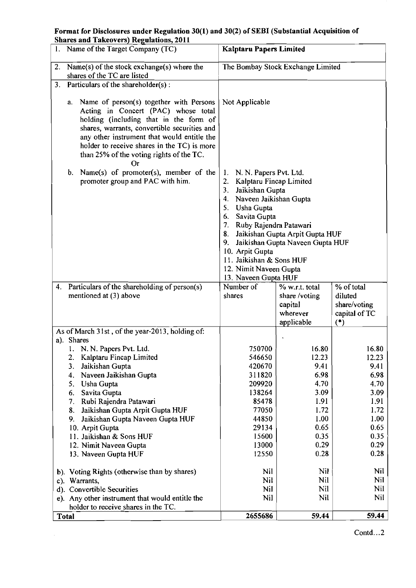Format for Disclosures under Regulation **30(1)** and **30(2)** of SEBI (Substantial Acquisition of **Shares and Takeovers) Regulations, 2011** 

| 1. Name of the Target Company (TC)                                           |                                                                                                                                                                                                                                                                                                                                                                                           | <b>Kalptaru Papers Limited</b>                                                                                                                                                                                                                                                                                                                                        |                                                                                                        |                                                                                                        |
|------------------------------------------------------------------------------|-------------------------------------------------------------------------------------------------------------------------------------------------------------------------------------------------------------------------------------------------------------------------------------------------------------------------------------------------------------------------------------------|-----------------------------------------------------------------------------------------------------------------------------------------------------------------------------------------------------------------------------------------------------------------------------------------------------------------------------------------------------------------------|--------------------------------------------------------------------------------------------------------|--------------------------------------------------------------------------------------------------------|
| 2. Name(s) of the stock exchange(s) where the<br>shares of the TC are listed |                                                                                                                                                                                                                                                                                                                                                                                           | The Bombay Stock Exchange Limited                                                                                                                                                                                                                                                                                                                                     |                                                                                                        |                                                                                                        |
| 3.                                                                           | Particulars of the shareholder(s):                                                                                                                                                                                                                                                                                                                                                        |                                                                                                                                                                                                                                                                                                                                                                       |                                                                                                        |                                                                                                        |
|                                                                              | Name of person(s) together with Persons<br>а.<br>Acting in Concert (PAC) whose total<br>holding (including that in the form of<br>shares, warrants, convertible securities and<br>any other instrument that would entitle the<br>holder to receive shares in the TC) is more<br>than 25% of the voting rights of the TC.<br>Or                                                            | Not Applicable                                                                                                                                                                                                                                                                                                                                                        |                                                                                                        |                                                                                                        |
|                                                                              | Name(s) of promoter(s), member of the<br>b.<br>promoter group and PAC with him.                                                                                                                                                                                                                                                                                                           | 1. N. N. Papers Pvt. Ltd.<br>2. Kalptaru Fincap Limited<br>3. Jaikishan Gupta<br>4. Naveen Jaikishan Gupta<br>5. Usha Gupta<br>Savita Gupta<br>6.<br>Ruby Rajendra Patawari<br>7.<br>Jaikishan Gupta Arpit Gupta HUF<br>8.<br>Jaikishan Gupta Naveen Gupta HUF<br>9.<br>10. Arpit Gupta<br>11. Jaikishan & Sons HUF<br>12. Nimit Naveen Gupta<br>13. Naveen Gupta HUF |                                                                                                        |                                                                                                        |
| 4.                                                                           | Particulars of the shareholding of person(s)<br>mentioned at (3) above                                                                                                                                                                                                                                                                                                                    | Number of                                                                                                                                                                                                                                                                                                                                                             | % w.r.t. total                                                                                         | % of total                                                                                             |
|                                                                              |                                                                                                                                                                                                                                                                                                                                                                                           | shares                                                                                                                                                                                                                                                                                                                                                                | share /voting<br>capital<br>wherever                                                                   | diluted<br>share/voting<br>capital of TC                                                               |
|                                                                              | As of March 31st, of the year-2013, holding of:                                                                                                                                                                                                                                                                                                                                           |                                                                                                                                                                                                                                                                                                                                                                       | applicable                                                                                             | $(*)$                                                                                                  |
|                                                                              | a). Shares<br>1. N. N. Papers Pvt. Ltd.<br>Kalptaru Fincap Limited<br>3.<br>Jaikishan Gupta<br>Naveen Jaikishan Gupta<br>4.<br>5.<br>Usha Gupta<br>Savita Gupta<br>6.<br>Rubi Rajendra Patawari<br>7.<br>Jaikishan Gupta Arpit Gupta HUF<br>8.<br>Jaikishan Gupta Naveen Gupta HUF<br>9.<br>10. Arpit Gupta<br>11. Jaikishan & Sons HUF<br>12. Nimit Naveen Gupta<br>13. Naveen Gupta HUF | 750700<br>546650<br>420670<br>311820<br>209920<br>138264<br>85478<br>77050<br>44850<br>29134<br>15600<br>13000<br>12550                                                                                                                                                                                                                                               | 16.80<br>12.23<br>9.41<br>6.98<br>4.70<br>3.09<br>1.91<br>1.72<br>1.00<br>0.65<br>0.35<br>0.29<br>0.28 | 16.80<br>12.23<br>9.41<br>6.98<br>4.70<br>3.09<br>1.91<br>1.72<br>1.00<br>0.65<br>0.35<br>0.29<br>0.28 |
|                                                                              | b). Voting Rights (otherwise than by shares)                                                                                                                                                                                                                                                                                                                                              | Nil                                                                                                                                                                                                                                                                                                                                                                   | Nil                                                                                                    | Nil                                                                                                    |
|                                                                              | c). Warrants,                                                                                                                                                                                                                                                                                                                                                                             | Nil                                                                                                                                                                                                                                                                                                                                                                   | Nil                                                                                                    | Nil<br>Nil                                                                                             |
|                                                                              | d). Convertible Securities<br>e). Any other instrument that would entitle the<br>holder to receive shares in the TC.                                                                                                                                                                                                                                                                      | Nil<br>Nil                                                                                                                                                                                                                                                                                                                                                            | Nil<br>Nil                                                                                             | Nil                                                                                                    |

 $\hat{\boldsymbol{\beta}}$